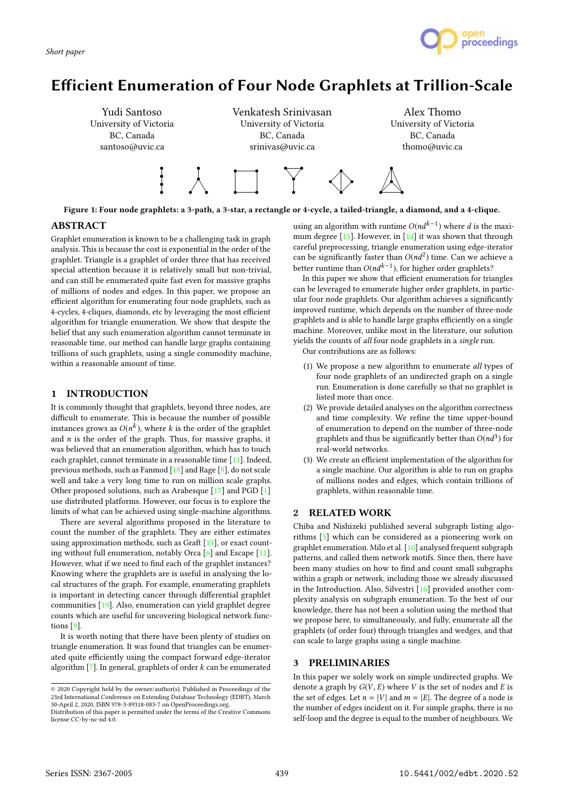

# Efficient Enumeration of Four Node Graphlets at Trillion-Scale



Figure 1: Four node graphlets: a 3-path, a 3-star, a rectangle or 4-cycle, a tailed-triangle, a diamond, and a 4-clique.

#### ABSTRACT

Graphlet enumeration is known to be a challenging task in graph analysis. This is because the cost is exponential in the order of the graphlet. Triangle is a graphlet of order three that has received special attention because it is relatively small but non-trivial, and can still be enumerated quite fast even for massive graphs of millions of nodes and edges. In this paper, we propose an efficient algorithm for enumerating four node graphlets, such as 4-cycles, 4-cliques, diamonds, etc by leveraging the most efficient algorithm for triangle enumeration. We show that despite the belief that any such enumeration algorithm cannot terminate in reasonable time, our method can handle large graphs containing trillions of such graphlets, using a single commodity machine, within a reasonable amount of time.

### 1 INTRODUCTION

It is commonly thought that graphlets, beyond three nodes, are difficult to enumerate. This is because the number of possible instances grows as  $O(n^k)$ , where k is the order of the graphlet<br>and n is the order of the graph. Thus, for massive graphs, it and  $n$  is the order of the graph. Thus, for massive graphs, it was believed that an enumeration algorithm, which has to touch each graphlet, cannot terminate in a reasonable time [11]. Indeed, previous methods, such as Fanmod [18] and Rage [8], do not scale well and take a very long time to run on million scale graphs. Other proposed solutions, such as Arabesque [17] and PGD [1] use distributed platforms. However, our focus is to explore the limits of what can be achieved using single-machine algorithms.

There are several algorithms proposed in the literature to count the number of the graphlets. They are either estimates using approximation methods, such as Graft [13], or exact counting without full enumeration, notably Orca [6] and Escape [11]. However, what if we need to find each of the graphlet instances? Knowing where the graphlets are is useful in analysing the local structures of the graph. For example, enumerating graphlets is important in detecting cancer through differential graphlet communities [19]. Also, enumeration can yield graphlet degree counts which are useful for uncovering biological network functions [9].

It is worth noting that there have been plenty of studies on triangle enumeration. It was found that triangles can be enumerated quite efficiently using the compact forward edge-iterator algorithm  $[7]$ . In general, graphlets of order  $k$  can be enumerated

using an algorithm with runtime  $O(nd^{k-1})$  where d is the maxi-<br>mum degree [15]. However, in [14] it was shown that through mum degree  $[15]$ . However, in  $[14]$  it was shown that through careful preprocessing, triangle enumeration using edge-iterator can be significantly faster than  $O(nd^2)$  time. Can we achieve a<br>better runtime than  $O(nd^{k-1})$  for higher order graphlets? better runtime than  $O(nd^{k-1})$ , for higher order graphlets?<br>In this paper we show that efficient enumeration for trial

In this paper we show that efficient enumeration for triangles can be leveraged to enumerate higher order graphlets, in particular four node graphlets. Our algorithm achieves a significantly improved runtime, which depends on the number of three-node graphlets and is able to handle large graphs efficiently on a single machine. Moreover, unlike most in the literature, our solution vields the counts of all four node graphlets in a single run.

Our contributions are as follows:

- (1) We propose a new algorithm to enumerate all types of four node graphlets of an undirected graph on a single run. Enumeration is done carefully so that no graphlet is listed more than once.
- (2) We provide detailed analyses on the algorithm correctness and time complexity. We refine the time upper-bound of enumeration to depend on the number of three-node graphlets and thus be significantly better than  $O(nd^3)$  for real-world networks real-world networks.
- (3) We create an efficient implementation of the algorithm for a single machine. Our algorithm is able to run on graphs of millions nodes and edges, which contain trillions of graphlets, within reasonable time.

# 2 RELATED WORK

Chiba and Nishizeki published several subgraph listing algorithms [5] which can be considered as a pioneering work on graphlet enumeration. Milo et al. [10] analysed frequent subgraph patterns, and called them network motifs. Since then, there have been many studies on how to find and count small subgraphs within a graph or network, including those we already discussed in the Introduction. Also, Silvestri [16] provided another complexity analysis on subgraph enumeration. To the best of our knowledge, there has not been a solution using the method that we propose here, to simultaneously, and fully, enumerate all the graphlets (of order four) through triangles and wedges, and that can scale to large graphs using a single machine.

## 3 PRELIMINARIES

In this paper we solely work on simple undirected graphs. We denote a graph by  $G(V, E)$  where V is the set of nodes and E is the set of edges. Let  $n = |V|$  and  $m = |E|$ . The degree of a node is the number of edges incident on it. For simple graphs, there is no self-loop and the degree is equal to the number of neighbours. We

<sup>©</sup> 2020 Copyright held by the owner/author(s). Published in Proceedings of the 23rd International Conference on Extending Database Technology (EDBT), March 30-April 2, 2020, ISBN 978-3-89318-083-7 on OpenProceedings.org.

Distribution of this paper is permitted under the terms of the Creative Commons license CC-by-nc-nd 4.0.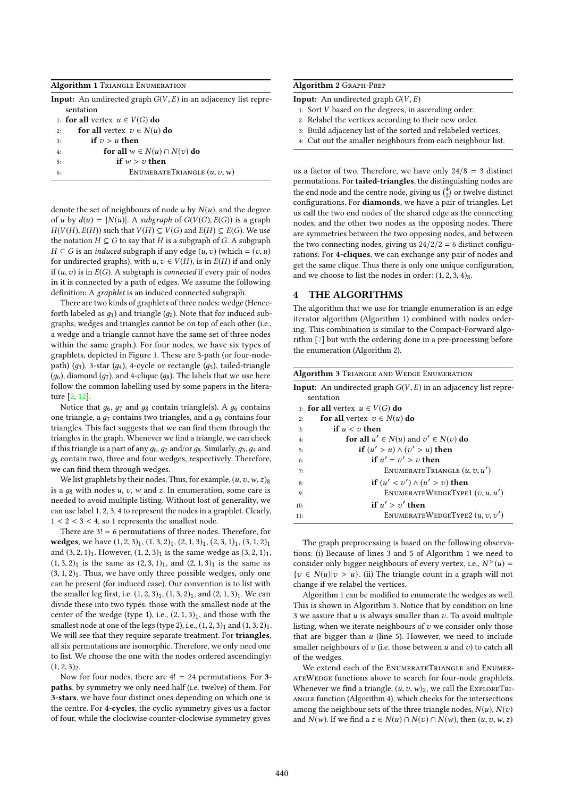|    | <b>Algorithm 1 TRIANGLE ENUMERATION</b>                                 |
|----|-------------------------------------------------------------------------|
|    | <b>Input:</b> An undirected graph $G(V, E)$ in an adjacency list repre- |
|    | sentation                                                               |
|    | 1: for all vertex $u \in V(G)$ do                                       |
| 2: | for all vertex $v \in N(u)$ do                                          |
| 3: | if $v > u$ then                                                         |
| 4: | for all $w \in N(u) \cap N(v)$ do                                       |
| 5: | if $w > v$ then                                                         |
| 6: | ENUMERATETRIANGLE $(u, v, w)$                                           |
|    |                                                                         |

denote the set of neighbours of node  $u$  by  $N(u)$ , and the degree of u by  $d(u) = |N(u)|$ . A subgraph of  $G(V(G), E(G))$  is a graph  $H(V(H), E(H))$  such that  $V(H) \subseteq V(G)$  and  $E(H) \subseteq E(G)$ . We use the notation  $H \subseteq G$  to say that H is a subgraph of G. A subgraph  $H \subseteq G$  is an *induced* subgraph if any edge  $(u, v)$  (which =  $(v, u)$ ) for undirected graphs), with  $u, v \in V(H)$ , is in  $E(H)$  if and only if  $(u, v)$  is in  $E(G)$ . A subgraph is connected if every pair of nodes in it is connected by a path of edges. We assume the following definition: A graphlet is an induced connected subgraph.

There are two kinds of graphlets of three nodes: wedge (Henceforth labeled as  $q_1$ ) and triangle ( $q_2$ ). Note that for induced subgraphs, wedges and triangles cannot be on top of each other (i.e., a wedge and a triangle cannot have the same set of three nodes within the same graph.). For four nodes, we have six types of graphlets, depicted in Figure 1. These are 3-path (or four-nodepath) ( $g_3$ ), 3-star ( $g_4$ ), 4-cycle or rectangle ( $g_5$ ), tailed-triangle  $(q_6)$ , diamond  $(q_7)$ , and 4-clique  $(q_8)$ . The labels that we use here follow the common labelling used by some papers in the literature [2, 12].

Notice that  $g_6$ ,  $g_7$  and  $g_8$  contain triangle(s). A  $g_6$  contains one triangle, a  $q_7$  contains two triangles, and a  $q_8$  contains four triangles. This fact suggests that we can find them through the triangles in the graph. Whenever we find a triangle, we can check if this triangle is a part of any  $g_6$ ,  $g_7$  and/or  $g_8$ . Similarly,  $g_3$ ,  $g_4$  and  $g_5$  contain two, three and four wedges, respectively. Therefore, we can find them through wedges.

We list graphlets by their nodes. Thus, for example,  $(u, v, w, z)$ <sub>8</sub> is a  $g_8$  with nodes  $u$ ,  $v$ ,  $w$  and  $z$ . In enumeration, some care is needed to avoid multiple listing. Without lost of generality, we can use label 1, 2, 3, 4 to represent the nodes in a graphlet. Clearly,  $1 < 2 < 3 < 4$ , so 1 represents the smallest node.

There are 3! = 6 permutations of three nodes. Therefore, for wedges, we have  $(1, 2, 3)$ <sub>1</sub>,  $(1, 3, 2)$ <sub>1</sub>,  $(2, 1, 3)$ <sub>1</sub>,  $(2, 3, 1)$ <sub>1</sub>,  $(3, 1, 2)$ <sub>1</sub> and  $(3, 2, 1)_1$ . However,  $(1, 2, 3)_1$  is the same wedge as  $(3, 2, 1)_1$ ,  $(1, 3, 2)_1$  is the same as  $(2, 3, 1)_1$ , and  $(2, 1, 3)_1$  is the same as  $(3, 1, 2)_1$ . Thus, we have only three possible wedges, only one can be present (for induced case). Our convention is to list with the smaller leg first, i.e.  $(1, 2, 3)_1$ ,  $(1, 3, 2)_1$ , and  $(2, 1, 3)_1$ . We can divide these into two types: those with the smallest node at the center of the wedge (type 1), i.e.,  $(2, 1, 3)_1$ , and those with the smallest node at one of the legs (type 2), i.e.,  $(1, 2, 3)_1$  and  $(1, 3, 2)_1$ . We will see that they require separate treatment. For triangles, all six permutations are isomorphic. Therefore, we only need one to list. We choose the one with the nodes ordered ascendingly:  $(1, 2, 3)_2.$ 

Now for four nodes, there are  $4! = 24$  permutations. For 3paths, by symmetry we only need half (i.e. twelve) of them. For 3-stars, we have four distinct ones depending on which one is the centre. For 4-cycles, the cyclic symmetry gives us a factor of four, while the clockwise counter-clockwise symmetry gives

| Algorithm 2 GRAPH-PREP |  |  |
|------------------------|--|--|
|------------------------|--|--|

**Input:** An undirected graph  $G(V, E)$ 

- 1: Sort V based on the degrees, in ascending order.
- 2: Relabel the vertices according to their new order.
- 3: Build adjacency list of the sorted and relabeled vertices.
- 4: Cut out the smaller neighbours from each neighbour list.

us a factor of two. Therefore, we have only  $24/8 = 3$  distinct permutations. For tailed-triangles, the distinguishing nodes are the end node and the centre node, giving us  $\binom{4}{2}$  or twelve distinct configurations. For diamonds, we have a pair of triangles. Let us call the two end nodes of the shared edge as the connecting nodes, and the other two nodes as the opposing nodes. There are symmetries between the two opposing nodes, and between the two connecting nodes, giving us  $24/2/2 = 6$  distinct configurations. For 4-cliques, we can exchange any pair of nodes and get the same clique. Thus there is only one unique configuration, and we choose to list the nodes in order:  $(1, 2, 3, 4)$ <sub>8</sub>.

#### 4 THE ALGORITHMS

The algorithm that we use for triangle enumeration is an edge iterator algorithm (Algorithm 1) combined with nodes ordering. This combination is similar to the Compact-Forward algorithm [7] but with the ordering done in a pre-processing before the enumeration (Algorithm 2).

| <b>Algorithm 3 TRIANGLE AND WEDGE ENUMERATION</b> |                                                                         |  |  |  |  |
|---------------------------------------------------|-------------------------------------------------------------------------|--|--|--|--|
|                                                   | <b>Input:</b> An undirected graph $G(V, E)$ in an adjacency list repre- |  |  |  |  |
|                                                   | sentation                                                               |  |  |  |  |
|                                                   | 1: for all vertex $u \in V(G)$ do                                       |  |  |  |  |
| 2:                                                | <b>for all</b> vertex $v \in N(u)$ do                                   |  |  |  |  |
| 3:                                                | if $u < v$ then                                                         |  |  |  |  |
| 4:                                                | for all $u' \in N(u)$ and $v' \in N(v)$ do                              |  |  |  |  |
| 5:                                                | if $(u' > u) \wedge (v' > u)$ then                                      |  |  |  |  |
| 6:                                                | if $u' = v' > v$ then                                                   |  |  |  |  |
| 7:                                                | ENUMERATETRIANGLE $(u, v, u')$                                          |  |  |  |  |
| 8:                                                | if $(u' < v') \wedge (u' > v)$ then                                     |  |  |  |  |
| 9:                                                | ENUMERATEWEDGETYPE1 $(v, u, u')$                                        |  |  |  |  |
| 10:                                               | if $u' > v'$ then                                                       |  |  |  |  |
| 11:                                               | ENUMERATEWEDGETYPE2 $(u, v, v')$                                        |  |  |  |  |
|                                                   |                                                                         |  |  |  |  |

The graph preprocessing is based on the following observations: (i) Because of lines 3 and 5 of Algorithm 1 we need to consider only bigger neighbours of every vertex, i.e.,  $N^>(u) =$ <br> $\{x_i \in N(u)|u_i > u\}$  (ii) The triangle count in a graph will not  ${v \in N(u)|v > u}.$  (ii) The triangle count in a graph will not change if we relabel the vertices.

Algorithm 1 can be modified to enumerate the wedges as well. This is shown in Algorithm 3. Notice that by condition on line 3 we assure that  $u$  is always smaller than  $v$ . To avoid multiple listing, when we iterate neighbours of  $v$  we consider only those that are bigger than  $u$  (line 5). However, we need to include smaller neighbours of  $v$  (i.e. those between  $u$  and  $v$ ) to catch all of the wedges.

We extend each of the ENUMERATETRIANGLE and ENUMERateWedge functions above to search for four-node graphlets. Whenever we find a triangle,  $(u, v, w)_2$ , we call the EXPLORETRI-ANGLE function (Algorithm 4), which checks for the intersections among the neighbour sets of the three triangle nodes,  $N(u)$ ,  $N(v)$ and  $N(w)$ . If we find a  $z \in N(u) \cap N(v) \cap N(w)$ , then  $(u, v, w, z)$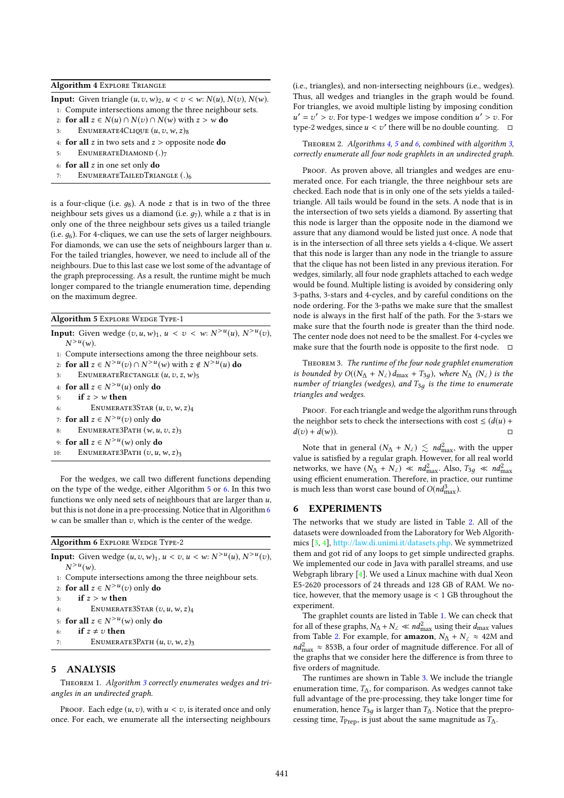#### Algorithm 4 EXPLORE TRIANGLE

**Input:** Given triangle  $(u, v, w)_2$ ,  $u < v < w$ :  $N(u)$ ,  $N(v)$ ,  $N(w)$ .

- 1: Compute intersections among the three neighbour sets.
- 2: for all  $z \in N(u) \cap N(v) \cap N(w)$  with  $z > w$  do<br>3: ENUMERATE4CLIQUE  $(u, v, w, z)$
- ENUMERATE4CLIQUE  $(u, v, w, z)$ 8
- 4: **for all** z in two sets and  $z >$  opposite node **do**<br>5: **ENUMERATEDIAMOND** (.)7
- ENUMERATEDIAMOND (.)7
- 6: for all  $z$  in one set only do  $z_i$ .<br>ENUMERATETAILED TRIA
- ENUMERATETAILEDTRIANGLE (.)6

is a four-clique (i.e.  $q_8$ ). A node z that is in two of the three neighbour sets gives us a diamond (i.e.  $g_7$ ), while a z that is in only one of the three neighbour sets gives us a tailed triangle (i.e.  $q_6$ ). For 4-cliques, we can use the sets of larger neighbours. For diamonds, we can use the sets of neighbours larger than  $u$ . For the tailed triangles, however, we need to include all of the neighbours. Due to this last case we lost some of the advantage of the graph preprocessing. As a result, the runtime might be much longer compared to the triangle enumeration time, depending on the maximum degree.

#### Algorithm 5 Explore Wedge Type-1

**Input:** Given wedge  $(v, u, w)_1$ ,  $u < v < w$ :  $N^{>u}(u)$ ,  $N^{>u}(v)$ ,  $N^{>u}(u_0)$  $\sum_{i=1}^{n}$  Compute intersections among the three neighbour sets.  $>u(w)$ . 2: for all  $z \in N^{>u}(v) \cap N^{>u}(w)$  with  $z \notin N^{>u}(u)$  do<br>3. ENUMER ATERECTANCES  $(u, z, z, w)$ . 3: ENUMERATERECTANGLE  $(u, v, z, w)$ 5 4: for all  $z \in N^{>u}(u)$  only do 5: **if**  $z > w$  then ENUMERATE3STAR  $(u, v, w, z)_4$ 7: for all  $z \in N^{>u}(v)$  only do 8: ENUMERATE3PATH  $(w, u, v, z)$ <sub>3</sub> 9: for all  $z \in N^{>u}(w)$  only do<br>0. ENUMERATE 3PATH (7)  $u$ 10: ENUMERATE3PATH  $(v, u, w, z)$ <sub>3</sub>

For the wedges, we call two different functions depending on the type of the wedge, either Algorithm 5 or 6. In this two functions we only need sets of neighbours that are larger than  $u$ , but this is not done in a pre-processing. Notice that in Algorithm 6  $w$  can be smaller than  $v$ , which is the center of the wedge.

#### Algorithm 6 EXPLORE WEDGE TYPE-2

- **Input:** Given wedge  $(u, v, w)_1, u < v, u < w: N^{>u}(u), N^{>u}(v),$ <br> $N^{>u}(u_0)$  $>u(w)$ .
- 1: Compute intersections among the three neighbour sets.
- 2: for all  $z \in N^{>u}(v)$  only do
- 3: if  $z > w$  then<br>4: ENUMERAT
- ENUMERATE3STAR  $(v, u, w, z)_4$
- 5: for all  $z \in N^{>u}(w)$  only do
- 
- 6: **if**  $z \neq v$  **then**<br>7: **ENUMERA** ENUMERATE3PATH  $(u, v, w, z)$ <sub>3</sub>

## 5 ANALYSIS

THEOREM 1. Algorithm 3 correctly enumerates wedges and triangles in an undirected graph.

PROOF. Each edge  $(u, v)$ , with  $u < v$ , is iterated once and only once. For each, we enumerate all the intersecting neighbours

(i.e., triangles), and non-intersecting neighbours (i.e., wedges). Thus, all wedges and triangles in the graph would be found. For triangles, we avoid multiple listing by imposing condition type-2 wedges, since  $u < v'$  there will be no double counting.  $□$  $v' = v' > v$ . For type-1 wedges we impose condition  $u' > v$ . For  $v = v'$  wedges since  $u \le v'$  there will be no double counting

THEOREM 2. Algorithms 4, 5 and 6, combined with algorithm 3, correctly enumerate all four node graphlets in an undirected graph.

PROOF. As proven above, all triangles and wedges are enumerated once. For each triangle, the three neighbour sets are checked. Each node that is in only one of the sets yields a tailedtriangle. All tails would be found in the sets. A node that is in the intersection of two sets yields a diamond. By asserting that this node is larger than the opposite node in the diamond we assure that any diamond would be listed just once. A node that is in the intersection of all three sets yields a 4-clique. We assert that this node is larger than any node in the triangle to assure that the clique has not been listed in any previous iteration. For wedges, similarly, all four node graphlets attached to each wedge would be found. Multiple listing is avoided by considering only 3-paths, 3-stars and 4-cycles, and by careful conditions on the node ordering. For the 3-paths we make sure that the smallest node is always in the first half of the path. For the 3-stars we make sure that the fourth node is greater than the third node. The center node does not need to be the smallest. For 4-cycles we make sure that the fourth node is opposite to the first node.  $\square$ 

Theorem 3. The runtime of the four node graphlet enumeration is bounded by  $O((N_{\Delta} + N_{\angle})d_{\text{max}} + T_{3q})$ , where  $N_{\Delta}$  ( $N_{\angle}$ ) is the number of triangles (wedges), and  $T_{3g}$  is the time to enumerate triangles and wedges.

PROOF. For each triangle and wedge the algorithm runs through the neighbor sets to check the intersections with cost  $\leq (d(u) + d(v)) + d(w)$ .  $d(v) + d(w)$ ).

Note that in general  $(N_{\Delta} + N_{\angle}) \lesssim nd_{\text{max}}^2$ , with the upper<br>use is satisfied by a regular graph. However, for all real world value is satisfied by a regular graph. However, for all real world networks, we have  $(N_\Delta + N_\ell) \ll nd_{\text{max}}^2$ . Also,  $T_{3g} \ll nd_{\text{max}}^2$ using efficient enumeration. Therefore, in practice, our runtime is much less than worst case bound of  $O(nd_{\text{max}}^3)$ .

## 6 EXPERIMENTS

The networks that we study are listed in Table 2. All of the datasets were downloaded from the Laboratory for Web Algorithmics [3, 4], http://law.di.unimi.it/datasets.php. We symmetrized them and got rid of any loops to get simple undirected graphs. We implemented our code in Java with parallel streams, and use Webgraph library [4]. We used a Linux machine with dual Xeon E5-2620 processors of 24 threads and 128 GB of RAM. We notice, however, that the memory usage is < <sup>1</sup> GB throughout the experiment.

The graphlet counts are listed in Table 1. We can check that for all of these graphs,  $N_{\Delta} + N_{\angle} \ll nd_{\text{max}}^2$  using their  $d_{\text{max}}$  values<br>from Table 2. For example, for a mazon,  $N_{\Delta} + N_{\angle} \approx 42$ M and from Table 2. For example, for **amazon**,  $N_{\Delta} + N_{\angle} \approx 42M$  and  $nd_{\text{max}}^2 \approx 853B$ , a four order of magnitude difference. For all of the graphs that we consider here the difference is from three to the graphs that we consider here the difference is from three to five orders of magnitude.

The runtimes are shown in Table 3. We include the triangle enumeration time,  $T_{\Lambda}$ , for comparison. As wedges cannot take full advantage of the pre-processing, they take longer time for enumeration, hence  $T_{3q}$  is larger than  $T_{\Delta}$ . Notice that the preprocessing time,  $T_{\text{Prep}}$ , is just about the same magnitude as  $T_{\Delta}$ .